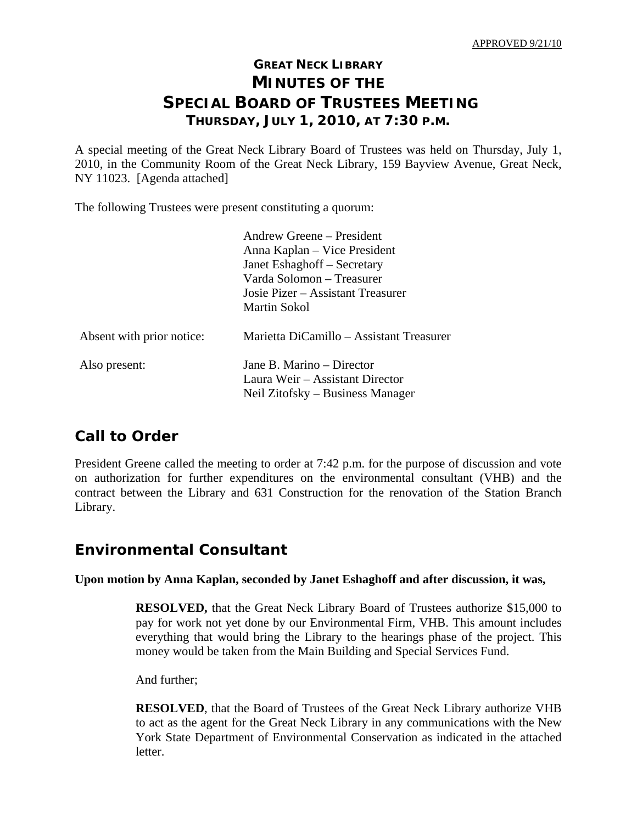#### **GREAT NECK LIBRARY MINUTES OF THE SPECIAL BOARD OF TRUSTEES MEETING THURSDAY, JULY 1, 2010, AT 7:30 P.M.**

A special meeting of the Great Neck Library Board of Trustees was held on Thursday, July 1, 2010, in the Community Room of the Great Neck Library, 159 Bayview Avenue, Great Neck, NY 11023. [Agenda attached]

The following Trustees were present constituting a quorum:

|                           | Andrew Greene – President<br>Anna Kaplan – Vice President<br>Janet Eshaghoff – Secretary<br>Varda Solomon – Treasurer<br>Josie Pizer – Assistant Treasurer<br>Martin Sokol |
|---------------------------|----------------------------------------------------------------------------------------------------------------------------------------------------------------------------|
| Absent with prior notice: | Marietta DiCamillo – Assistant Treasurer                                                                                                                                   |
| Also present:             | Jane B. Marino – Director<br>Laura Weir – Assistant Director<br>Neil Zitofsky – Business Manager                                                                           |

# **Call to Order**

President Greene called the meeting to order at 7:42 p.m. for the purpose of discussion and vote on authorization for further expenditures on the environmental consultant (VHB) and the contract between the Library and 631 Construction for the renovation of the Station Branch Library.

#### **Environmental Consultant**

#### **Upon motion by Anna Kaplan, seconded by Janet Eshaghoff and after discussion, it was,**

**RESOLVED,** that the Great Neck Library Board of Trustees authorize \$15,000 to pay for work not yet done by our Environmental Firm, VHB. This amount includes everything that would bring the Library to the hearings phase of the project. This money would be taken from the Main Building and Special Services Fund.

And further;

**RESOLVED**, that the Board of Trustees of the Great Neck Library authorize VHB to act as the agent for the Great Neck Library in any communications with the New York State Department of Environmental Conservation as indicated in the attached letter.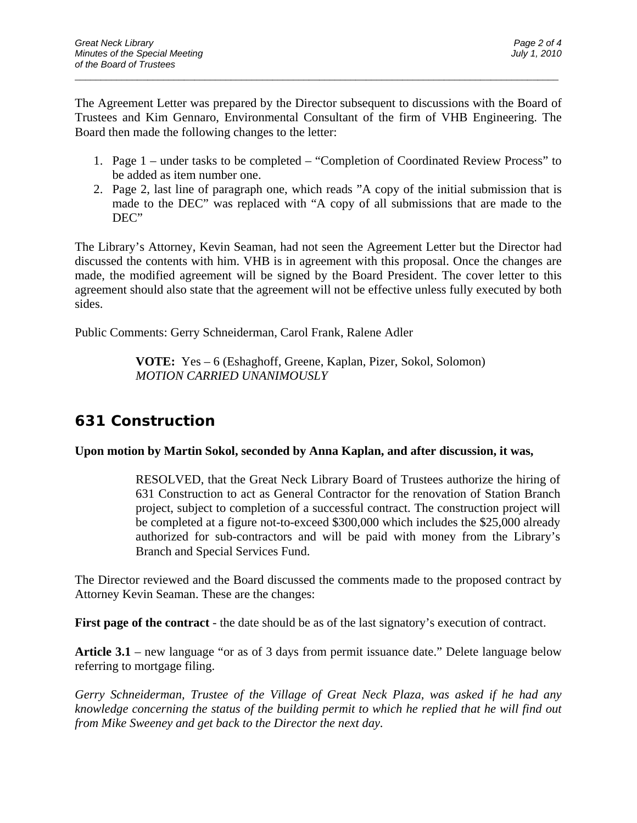The Agreement Letter was prepared by the Director subsequent to discussions with the Board of Trustees and Kim Gennaro, Environmental Consultant of the firm of VHB Engineering. The Board then made the following changes to the letter:

 $\overline{a}$  , and the contribution of the contribution of the contribution of the contribution of the contribution of the contribution of the contribution of the contribution of the contribution of the contribution of the co

- 1. Page 1 under tasks to be completed "Completion of Coordinated Review Process" to be added as item number one.
- 2. Page 2, last line of paragraph one, which reads "A copy of the initial submission that is made to the DEC" was replaced with "A copy of all submissions that are made to the DEC"

The Library's Attorney, Kevin Seaman, had not seen the Agreement Letter but the Director had discussed the contents with him. VHB is in agreement with this proposal. Once the changes are made, the modified agreement will be signed by the Board President. The cover letter to this agreement should also state that the agreement will not be effective unless fully executed by both sides.

Public Comments: Gerry Schneiderman, Carol Frank, Ralene Adler

**VOTE:** Yes – 6 (Eshaghoff, Greene, Kaplan, Pizer, Sokol, Solomon) *MOTION CARRIED UNANIMOUSLY* 

# **631 Construction**

#### **Upon motion by Martin Sokol, seconded by Anna Kaplan, and after discussion, it was,**

RESOLVED, that the Great Neck Library Board of Trustees authorize the hiring of 631 Construction to act as General Contractor for the renovation of Station Branch project, subject to completion of a successful contract. The construction project will be completed at a figure not-to-exceed \$300,000 which includes the \$25,000 already authorized for sub-contractors and will be paid with money from the Library's Branch and Special Services Fund.

The Director reviewed and the Board discussed the comments made to the proposed contract by Attorney Kevin Seaman. These are the changes:

**First page of the contract** - the date should be as of the last signatory's execution of contract.

**Article 3.1** – new language "or as of 3 days from permit issuance date." Delete language below referring to mortgage filing.

*Gerry Schneiderman, Trustee of the Village of Great Neck Plaza, was asked if he had any knowledge concerning the status of the building permit to which he replied that he will find out from Mike Sweeney and get back to the Director the next day.*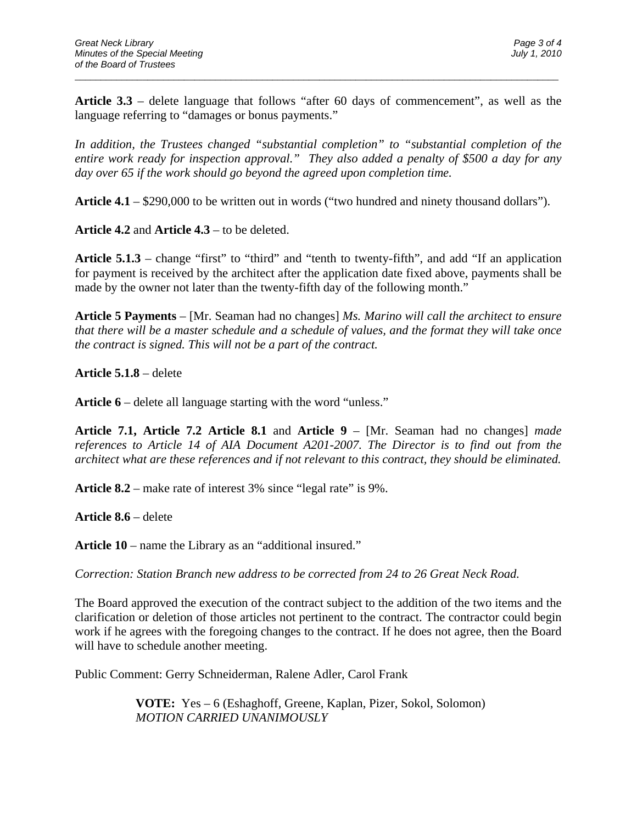**Article 3.3** – delete language that follows "after 60 days of commencement", as well as the language referring to "damages or bonus payments."

 $\overline{a}$  , and the contribution of the contribution of the contribution of the contribution of the contribution of the contribution of the contribution of the contribution of the contribution of the contribution of the co

*In addition, the Trustees changed "substantial completion" to "substantial completion of the entire work ready for inspection approval." They also added a penalty of \$500 a day for any day over 65 if the work should go beyond the agreed upon completion time.* 

**Article 4.1** – \$290,000 to be written out in words ("two hundred and ninety thousand dollars").

**Article 4.2** and **Article 4.3** – to be deleted.

**Article 5.1.3** – change "first" to "third" and "tenth to twenty-fifth", and add "If an application for payment is received by the architect after the application date fixed above, payments shall be made by the owner not later than the twenty-fifth day of the following month."

**Article 5 Payments** – [Mr. Seaman had no changes] *Ms. Marino will call the architect to ensure that there will be a master schedule and a schedule of values, and the format they will take once the contract is signed. This will not be a part of the contract.* 

**Article 5.1.8** – delete

**Article 6** – delete all language starting with the word "unless."

**Article 7.1, Article 7.2 Article 8.1** and **Article 9** *–* [Mr. Seaman had no changes] *made references to Article 14 of AIA Document A201-2007. The Director is to find out from the architect what are these references and if not relevant to this contract, they should be eliminated.* 

**Article 8.2** – make rate of interest 3% since "legal rate" is 9%.

**Article 8.6** – delete

**Article 10** – name the Library as an "additional insured."

*Correction: Station Branch new address to be corrected from 24 to 26 Great Neck Road.* 

The Board approved the execution of the contract subject to the addition of the two items and the clarification or deletion of those articles not pertinent to the contract. The contractor could begin work if he agrees with the foregoing changes to the contract. If he does not agree, then the Board will have to schedule another meeting.

Public Comment: Gerry Schneiderman, Ralene Adler, Carol Frank

**VOTE:** Yes – 6 (Eshaghoff, Greene, Kaplan, Pizer, Sokol, Solomon) *MOTION CARRIED UNANIMOUSLY*